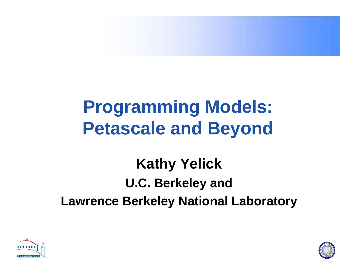

# **Programming Models: Petascale and Beyond**

# **Kathy Yelick U.C. Berkeley and Lawrence Berkeley National Laboratory**



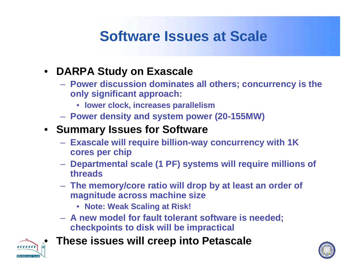## **Software Issues at Scale**

#### $\bullet$ **DARPA Study on Exascale**

- **Power discussion dominates all others; concurrency is the only significant approach:**
	- **lower clock, increases parallelism**
- **Power density and system power (20-155MW)**

### • **Summary Issues for Software**

- **Exascale will require billion-way concurrency with 1K cores per chip**
- **Departmental scale (1 PF) systems will require millions of threads**
- **The memory/core ratio will drop by at least an order of magnitude across machine size**
	- **Note: Weak Scaling at Risk!**
- **A new model for fault tolerant software is needed; checkpoints to disk will be impractical**



**These issues will creep into Petascale**

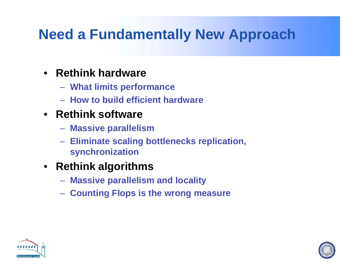## **Need a Fundamentally New Approach**

- **Rethink hardware**
	- **What limits performance**
	- **How to build efficient hardware**
- **Rethink software**
	- **Massive parallelism**
	- **Eliminate scaling bottlenecks replication, synchronization**
- **Rethink algorithms**
	- **Massive parallelism and locality**
	- **Counting Flops is the wrong measure**



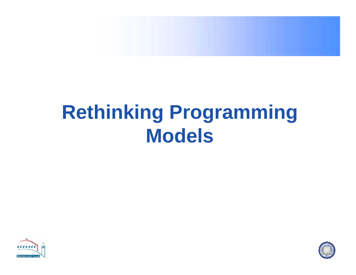

# **Rethinking Programming Models**



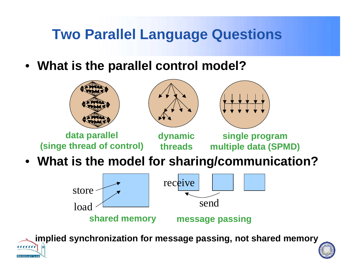### **Two Parallel Language Questions**

• **What is the parallel control model?**



• **What is the model for sharing/communication?**



 **implied synchronization for message passing, not shared memory**  $\frac{1}{2}$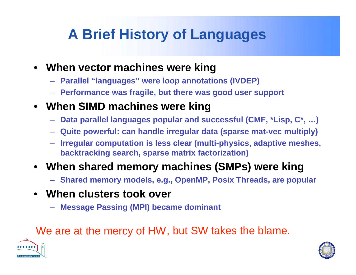## **A Brief History of Languages**

- **When vector machines were king**
	- **Parallel "languages" were loop annotations (IVDEP)**
	- **Performance was fragile, but there was good user support**
- **When SIMD machines were king**
	- **Data parallel languages popular and successful (CMF, \*Lisp, C\*, …)**
	- **Quite powerful: can handle irregular data (sparse mat-vec multiply)**
	- – **Irregular computation is less clear (multi-physics, adaptive meshes, backtracking search, sparse matrix factorization)**

### • **When shared memory machines (SMPs) were king**

- **Shared memory models, e.g., OpenMP, Posix Threads, are popular**
- **When clusters took over**
	- **Message Passing (MPI) became dominant**

### We are at the mercy of HW, but SW takes the blame.



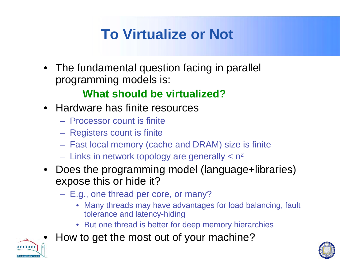# **To Virtualize or Not**

• The fundamental question facing in parallel programming models is:

### **What should be virtualized?**

- Hardware has finite resources
	- Processor count is finite
	- Registers count is finite
	- Fast local memory (cache and DRAM) size is finite
	- Links in network topology are generally  $<$  n<sup>2</sup>
- Does the programming model (language+libraries) expose this or hide it?
	- E.g., one thread per core, or many?
		- Many threads may have advantages for load balancing, fault tolerance and latency-hiding
		- But one thread is better for deep memory hierarchies
- •How to get the most out of your machine?



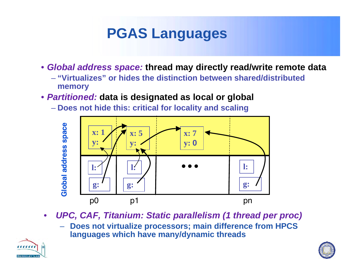## **PGAS Languages**

- *Global address space:* **thread may directly read/write remote data**
	- **"Virtualizes" or hides the distinction between shared/distributed memory**
- *Partitioned:* **data is designated as local or global**
	- **Does not hide this: critical for locality and scaling**



- $\bullet$  *UPC, CAF, Titanium: Static parallelism (1 thread per proc)*
	- **Does not virtualize processors; main difference from HPCS languages which have many/dynamic threads**



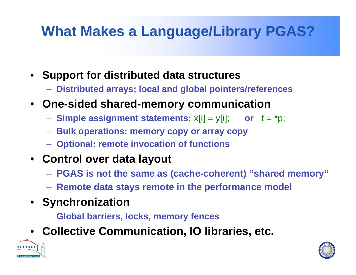## **What Makes a Language/Library PGAS?**

- • **Support for distributed data structures**
	- **Distributed arrays; local and global pointers/references**
- **One-sided shared-memory communication**
	- **Simple assignment statements:** x[i] = y[i]; **or** t = \*p;
	- **Bulk operations: memory copy or array copy**
	- **Optional: remote invocation of functions**
- **Control over data layout**
	- **PGAS is not the same as (cache-coherent) "shared memory"**
	- **Remote data stays remote in the performance model**
- **Synchronization**
	- **Global barriers, locks, memory fences**
- **Collective Communication, IO libraries, etc.**



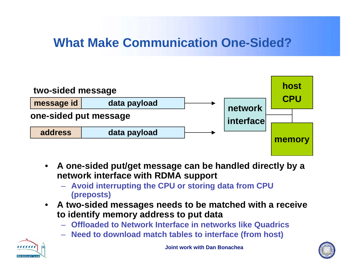### **What Make Communication One-Sided?**



- $\bullet$  **A one-sided put/get message can be handled directly by a network interface with RDMA support**
	- **Avoid interrupting the CPU or storing data from CPU (preposts)**
- $\bullet$  **A two-sided messages needs to be matched with a receive to identify memory address to put data**
	- **Offloaded to Network Interface in networks like Quadrics**
	- **Need to download match tables to interface (from host)**



**Joint work with Dan Bonachea**

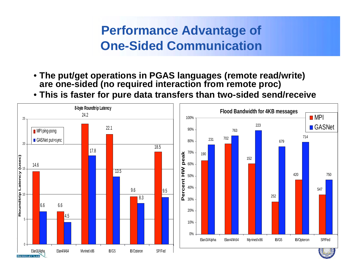### **Performance Advantage of One-Sided Communication**

- **The put/get operations in PGAS languages (remote read/write) are one-sided (no required interaction from remote proc)**
- **This is faster for pure data transfers than two-sided send/receive**

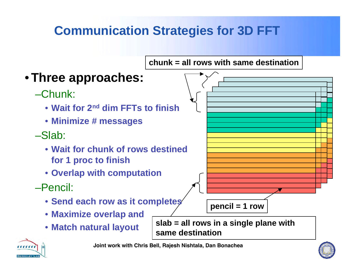### **Communication Strategies for 3D FFT**





**Joint work with Chris Bell, Rajesh Nishtala, Dan Bonachea**

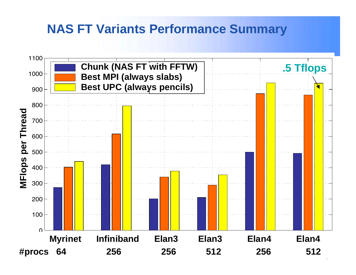### **NAS FT Variants Performance Summary**

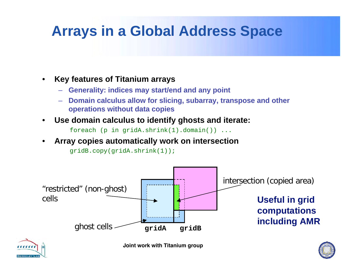## **Arrays in a Global Address Space**

- • **Key features of Titanium arrays**
	- –**Generality: indices may start/end and any point**
	- **Domain calculus allow for slicing, subarray, transpose and other operations without data copies**
- •**Use domain calculus to identify ghosts and iterate:**

foreach (p in gridA.shrink(1).domain()) ...

•**Array copies automatically work on intersection**

gridB.copy(gridA.shrink(1));





**Joint work with Titanium group**

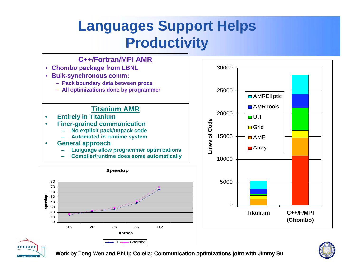## **Languages Support Helps Productivity**





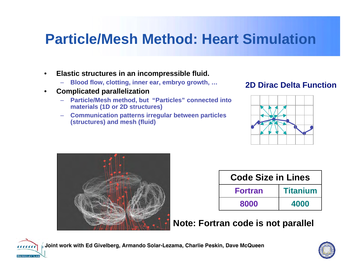### **Particle/Mesh Method: Heart Simulation**

- • **Elastic structures in an incompressible fluid.**
	- **Blood flow, clotting, inner ear, embryo growth, …**
- $\bullet$  **Complicated parallelization**
	- – **Particle/Mesh method, but "Particles" connected into materials (1D or 2D structures)**
	- – **Communication patterns irregular between particles (structures) and mesh (fluid)**







| <b>Code Size in Lines</b> |                 |
|---------------------------|-----------------|
| <b>Fortran</b>            | <b>Titanium</b> |
| 8000                      | 4000            |

### **Note: Fortran code is not parallel**



**Joint work with Ed Givelberg, Armando Solar-Lezama, Charlie Peskin, Dave McQueen**

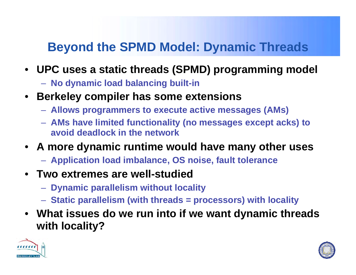### **Beyond the SPMD Model: Dynamic Threads**

- **UPC uses a static threads (SPMD) programming model**
	- **No dynamic load balancing built-in**
- **Berkeley compiler has some extensions**
	- **Allows programmers to execute active messages (AMs)**
	- **AMs have limited functionality (no messages except acks) to avoid deadlock in the network**
- **A more dynamic runtime would have many other uses**
	- **Application load imbalance, OS noise, fault tolerance**
- **Two extremes are well-studied**
	- **Dynamic parallelism without locality**
	- **Static parallelism (with threads = processors) with locality**
- **What issues do we run into if we want dynamic threads with locality?**



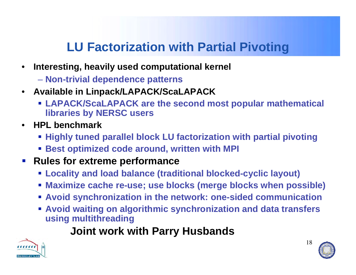### **LU Factorization with Partial Pivoting**

- • **Interesting, heavily used computational kernel**
	- **Non-trivial dependence patterns**
- **Available in Linpack/LAPACK/ScaLAPACK**
	- **LAPACK/ScaLAPACK are the second most popular mathematical libraries by NERSC users**
- **HPL benchmark**
	- **Highly tuned parallel block LU factorization with partial pivoting**
	- **Best optimized code around, written with MPI**
- **Rules for extreme performance** 
	- **Locality and load balance (traditional blocked-cyclic layout)**
	- **Maximize cache re-use; use blocks (merge blocks when possible)**
	- **Avoid synchronization in the network: one-sided communication**
	- **Avoid waiting on algorithmic synchronization and data transfers using multithreading**

### **Joint work with Parry Husbands**





18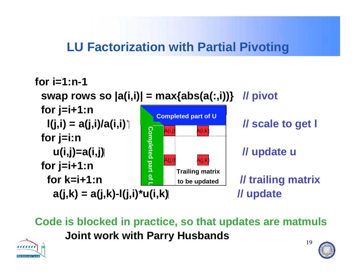### **LU Factorization with Partial Pivoting**



19 **Code is blocked in practice, so that updates are matmuls Joint work with Parry Husbands**



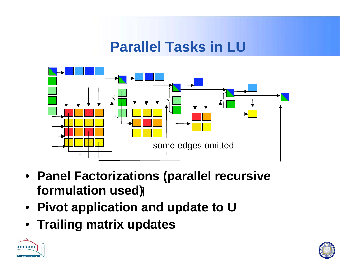### **Parallel Tasks in LU**



- **Panel Factorizations (parallel recursive formulation used)**
- **Pivot application and update to U**
- **Trailing matrix updates**



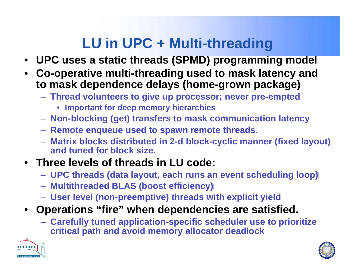# **LU in UPC + Multi-threading**

- **UPC uses a static threads (SPMD) programming model**
- **Co-operative multi-threading used to mask latency and to mask dependence delays (home-grown package)**
	- **Thread volunteers to give up processor; never pre-empted**
		- **Important for deep memory hierarchies**
	- **Non-blocking (get) transfers to mask communication latency**
	- **Remote enqueue used to spawn remote threads.**
	- **Matrix blocks distributed in 2-d block-cyclic manner (fixed layout) and tuned for block size.**
- **Three levels of threads in LU code:**
	- **UPC threads (data layout, each runs an event scheduling loop)**
	- **Multithreaded BLAS (boost efficiency)**
	- **User level (non-preemptive) threads with explicit yield**
- **Operations "fire" when dependencies are satisfied.**
	- **Carefully tuned application-specific scheduler use to prioritize critical path and avoid memory allocator deadlock**



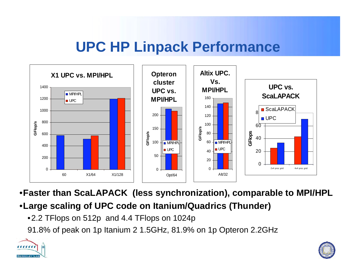### **UPC HP Linpack Performance**



•**Faster than ScaLAPACK (less synchronization), comparable to MPI/HPL**

- •**Large scaling of UPC code on Itanium/Quadrics (Thunder)**
	- •2.2 TFlops on 512p and 4.4 TFlops on 1024p

91.8% of peak on 1p Itanium 2 1.5GHz, 81.9% on 1p Opteron 2.2GHz



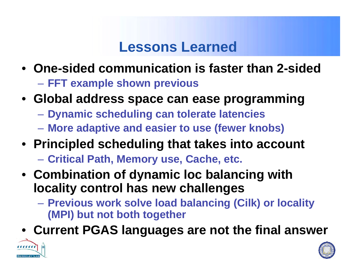### **Lessons Learned**

- **One-sided communication is faster than 2-sided** –**FFT example shown previous**
- **Global address space can ease programming**
	- $\mathcal{L}_{\mathcal{A}}$ **Dynamic scheduling can tolerate latencies**
	- **More adaptive and easier to use (fewer knobs)**
- **Principled scheduling that takes into account**
	- $\mathcal{L}_{\mathcal{A}}$ **Critical Path, Memory use, Cache, etc.**
- **Combination of dynamic loc balancing with locality control has new challenges**
	- **Previous work solve load balancing (Cilk) or locality (MPI) but not both together**
- **Current PGAS languages are not the final answer**



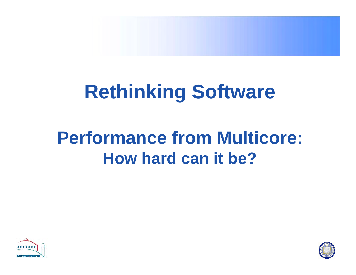

# **Rethinking Software**

# **Performance from Multicore: How hard can it be?**



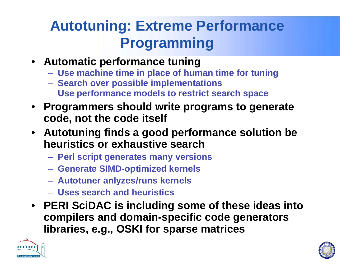# **Autotuning: Extreme Performance Programming**

- **Automatic performance tuning**
	- **Use machine time in place of human time for tuning**
	- **Search over possible implementations**
	- **Use performance models to restrict search space**
- **Programmers should write programs to generate code, not the code itself**
- **Autotuning finds a good performance solution be heuristics or exhaustive search Block size (n**
	- **Perl script generates many versions**
	- **Generate SIMD-optimized kernels**
	- **Autotuner anlyzes/runs kernels**
	- **Uses search and heuristics**
- **PERI SciDAC is including some of these ideas into compilers and domain-specific code generators libraries, e.g., OSKI for sparse matrices**



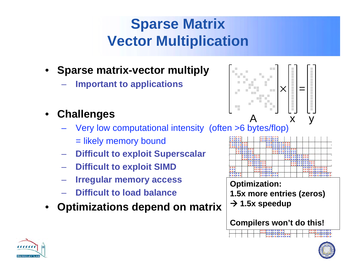# **Sparse Matrix Vector Multiplication**

- • **Sparse matrix-vector multiply**
	- **Important to applications**
- • **Challenges**
	- Very low computational intensity (often >6 bytes/flop)
		- = likely memory bound
	- **Difficult to exploit Superscalar**
	- **Difficult to exploit SIMD**
	- **Irregular memory access**
	- **Difficult to load balance**
- •**Optimizations depend on matrix**



**Optimization: 1.5x more entries (zeros)**  $\bm{\rightarrow}$  1.5x speedup

**Compilers won't do this!**



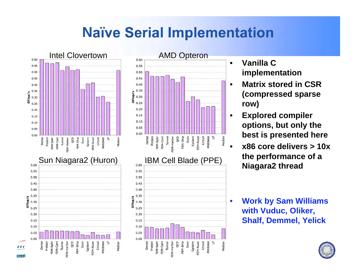### **Naïve Serial Implementation**





- **Vanilla C implementation**
- **Matrix stored in CSR (compressed sparse row)**
- **Explored compiler options, but only the best is presented here**
- **x86 core delivers > 10x the performance of a Niagara2 thread**
- **Work by Sam Williams with Vuduc, Oliker, Shalf, Demmel, Yelick**

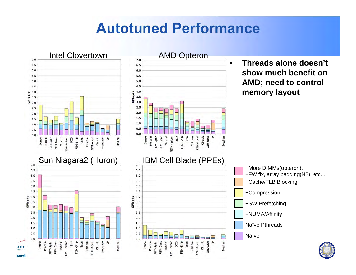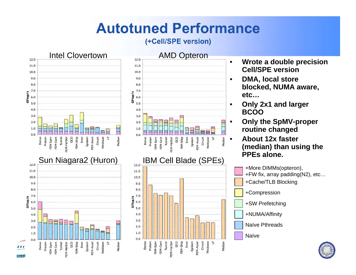#### **(+Cell/SPE version)**



- • **Wrote a double precision Cell/SPE version** •
	- **DMA, local store blocked, NUMA aware, etc…**
- • **Only 2x1 and larger BCOO**

•

Median

Median

Webbase ى

≣

FEM-Accel

Econ

Econ Epidem FEM-Accel Circuit

FEM-Ship

Epidem

FEM-Ship

Circuit

Webbase

 $\mathbf{B}$ 

- • **Only the SpMV-proper routine changed**
	- **About 12x faster (median) than using the**



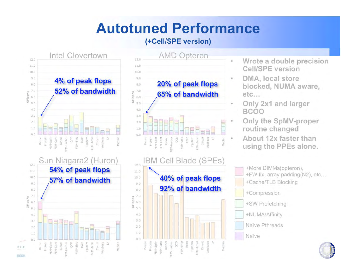#### **(+Cell/SPE version)**







- • **Wrote a double precision Cell/SPE version**
- • **DMA, local store blocked, NUMA aware, etc…**
	- **Only 2x1 and larger BCOO**

•

•

•

- **Only the SpMV-proper routine changed**
- **About 12x faster than using the PPEs alone.**

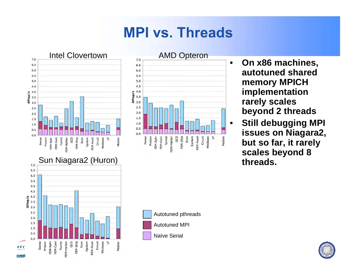### **MPI vs. Threads**





 **On x86 machines, autotuned shared memory MPICH implementation rarely scales beyond 2 threads**

•

 **Still debugging MPI issues on Niagara2, but so far, it rarely scales beyond 8 threads.**

Autotuned pthreads

- Autotuned MPI
- Naïve Serial

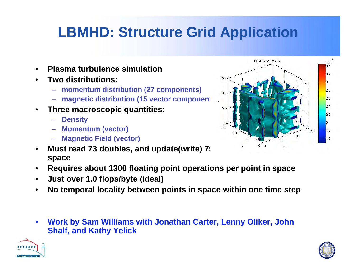# **LBMHD: Structure Grid Application**

- $\bullet$ **Plasma turbulence simulation**
- • **Two distributions:**
	- **momentum distribution (27 components)**
	- **magnetic distribution (15 vector component)**
- $\bullet$  **Three macroscopic quantities:**
	- **Density**
	- **Momentum (vector)**
	- **Magnetic Field (vector)**
- $\bullet$ **Must read 73 doubles, and update(write) 7. space**
- $\bullet$ **Requires about 1300 floating point operations per point in space**
- $\bullet$ **Just over 1.0 flops/byte (ideal)**
- •**No temporal locality between points in space within one time step**
- • **Work by Sam Williams with Jonathan Carter, Lenny Oliker, John Shalf, and Kathy Yelick**





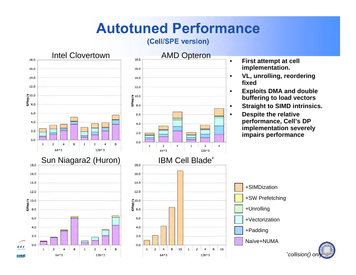#### **(Cell/SPE version)**

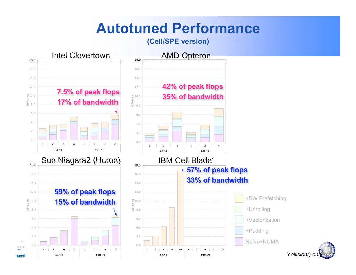#### **(Cell/SPE version)**

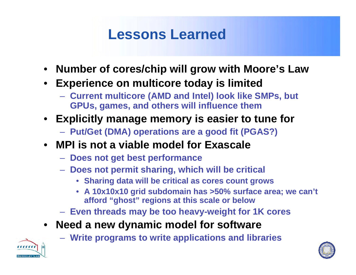## **Lessons Learned**

- **Number of cores/chip will grow with Moore's Law**
- **Experience on multicore today is limited**
	- **Current multicore (AMD and Intel) look like SMPs, but GPUs, games, and others will influence them**
- **Explicitly manage memory is easier to tune for**
	- **Put/Get (DMA) operations are a good fit (PGAS?)**
- **MPI is not a viable model for Exascale**
	- **Does not get best performance**
	- **Does not permit sharing, which will be critical**
		- **Sharing data will be critical as cores count grows**
		- **A 10x10x10 grid subdomain has >50% surface area; we can't afford "ghost" regions at this scale or below**
	- **Even threads may be too heavy-weight for 1K cores**
- • **Need a new dynamic model for software**
	- **Write programs to write applications and libraries**



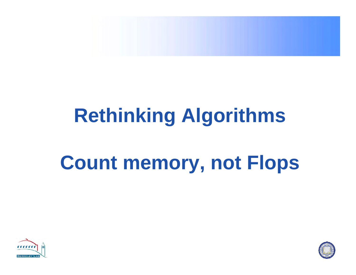

# **Rethinking Algorithms**

# **Count memory, not Flops**



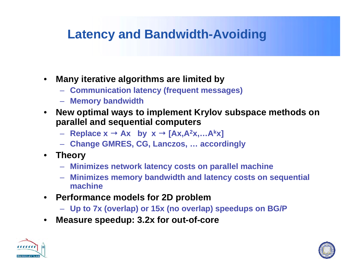### **Latency and Bandwidth-Avoiding**

- • **Many iterative algorithms are limited by**
	- **Communication latency (frequent messages)**
	- **Memory bandwidth**
- $\bullet$  **New optimal ways to implement Krylov subspace methods on parallel and sequential computers**
	- **Replace x Ax by x [Ax,A 2x,…A kx]**
	- **Change GMRES, CG, Lanczos, … accordingly**
- $\bullet$  **Theory**
	- **Minimizes network latency costs on parallel machine**
	- **Minimizes memory bandwidth and latency costs on sequential machine**
- **Performance models for 2D problem**
	- **Up to 7x (overlap) or 15x (no overlap) speedups on BG/P**
- •**Measure speedup: 3.2x for out-of-core**



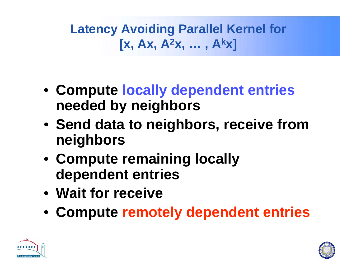**Latency Avoiding Parallel Kernel for [x, Ax, A 2x, … , A kx]**

- **Compute locally dependent entries needed by neighbors**
- **Send data to neighbors, receive from neighbors**
- **Compute remaining locally dependent entries**
- **Wait for receive**
- **Compute remotely dependent entries**



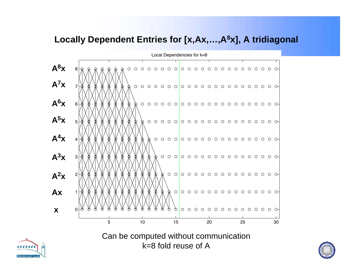#### **Locally Dependent Entries for [x,Ax,…,A8x], A tridiagonal**



Can be computed without communication k=8 fold reuse of A



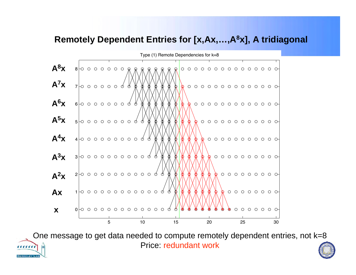### **Remotely Dependent Entries for [x,Ax,…,A8x], A tridiagonal**



One message to get data needed to compute remotely dependent entries, not k=8 Price: redundant work<u>,,,,,,,,</u>

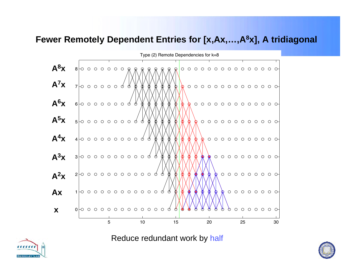#### **Fewer Remotely Dependent Entries for [x,Ax,…,A8x], A tridiagonal**



Reduce redundant work by half



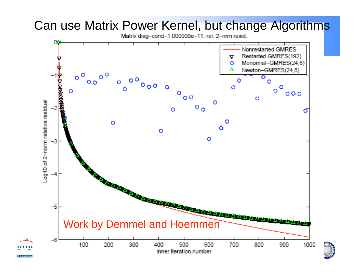

# Can use Matrix Power Kernel, but change Algorithms

**BERKELEY**